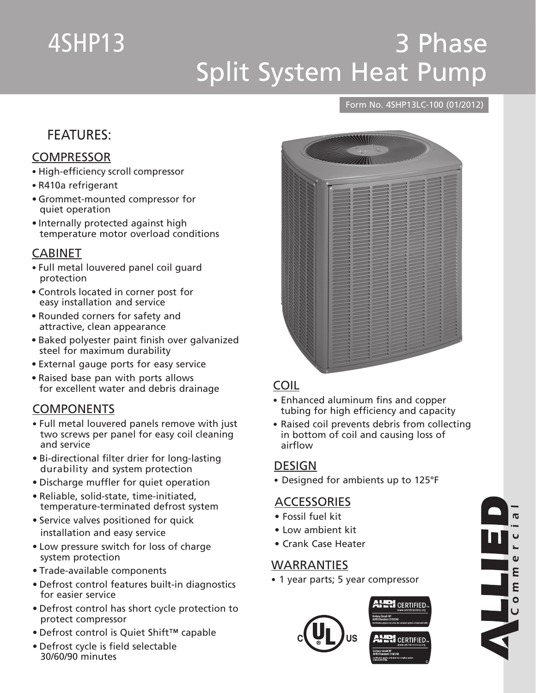# 4SHP13

## 3 Phase Split System Heat Pump

#### Form No. 4SHP13LC-100 (01/2012)

## FEATURES:

#### **COMPRESSOR**

- High-efficiency scroll compressor
- R410a refrigerant
- • Grommet-mounted compressor for quiet operation
- Internally protected against high temperature motor overload conditions

#### CABINET

- • Full metal louvered panel coil guard protection
- • Controls located in corner post for easy installation and service
- • Rounded corners for safety and attractive, clean appearance
- • Baked polyester paint finish over galvanized steel for maximum durability
- • External gauge ports for easy service
- Raised base pan with ports allows for excellent water and debris drainage

#### **COMPONENTS**

- • Full metal louvered panels remove with just two screws per panel for easy coil cleaning and service
- Bi-directional filter drier for long-lasting durability and system protection
- Discharge muffler for quiet operation
- • Reliable, solid-state, time-initiated, temperature-terminated defrost system
- Service valves positioned for quick installation and easy service
- Low pressure switch for loss of charge system protection
- Trade-available components
- • Defrost control features built-in diagnostics for easier service
- • Defrost control has short cycle protection to protect compressor
- • Defrost control is Quiet Shift™ capable
- • Defrost cycle is field selectable 30/60/90 minutes



#### COIL

- Enhanced aluminum fins and copper tubing for high efficiency and capacity
- Raised coil prevents debris from collecting in bottom of coil and causing loss of airflow

#### **DESIGN**

• Designed for ambients up to 125°F

#### **ACCESSORIES**

- • Fossil fuel kit
- • Low ambient kit
- • Crank Case Heater

#### **WARRANTIES**

• 1 year parts; 5 year compressor



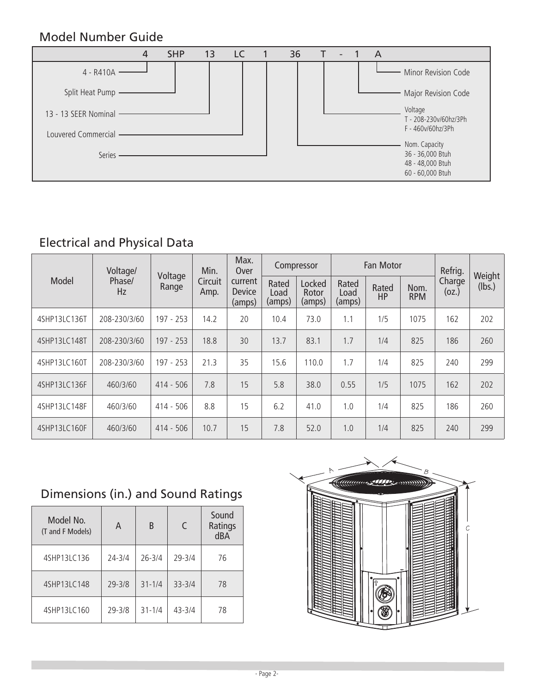### Model Number Guide



## Electrical and Physical Data

|              | Voltage/     | Voltage     | Min.            | Max.<br>Over                       |                         | Compressor                |                         | Fan Motor          |                    | Refrig.         | Weight |  |
|--------------|--------------|-------------|-----------------|------------------------------------|-------------------------|---------------------------|-------------------------|--------------------|--------------------|-----------------|--------|--|
| Model        | Phase/<br>Hz | Range       | Circuit<br>Amp. | current<br><b>Device</b><br>(amps) | Rated<br>Load<br>(amps) | Locked<br>Rotor<br>(amps) | Rated<br>Load<br>(amps) | Rated<br><b>HP</b> | Nom.<br><b>RPM</b> | Charge<br>(oz.) | (lbs.) |  |
| 4SHP13LC136T | 208-230/3/60 | 197 - 253   | 14.2            | 20                                 | 10.4                    | 73.0                      | 1.1                     | 1/5                | 1075               | 162             | 202    |  |
| 4SHP13LC148T | 208-230/3/60 | $197 - 253$ | 18.8            | 30                                 | 13.7                    | 83.1                      | 1.7                     | 1/4                | 825                | 186             | 260    |  |
| 4SHP13LC160T | 208-230/3/60 | 197 - 253   | 21.3            | 35                                 | 15.6                    | 110.0                     | 1.7                     | 1/4                | 825                | 240             | 299    |  |
| 4SHP13LC136F | 460/3/60     | $414 - 506$ | 7.8             | 15                                 | 5.8                     | 38.0                      | 0.55                    | 1/5                | 1075               | 162             | 202    |  |
| 4SHP13LC148F | 460/3/60     | 414 - 506   | 8.8             | 15                                 | 6.2                     | 41.0                      | 1.0                     | 1/4                | 825                | 186             | 260    |  |
| 4SHP13LC160F | 460/3/60     | $414 - 506$ | 10.7            | 15                                 | 7.8                     | 52.0                      | 1.0                     | 1/4                | 825                | 240             | 299    |  |

## Dimensions (in.) and Sound Ratings

| Model No.<br>(T and F Models) | A          | B          | $\subset$  | Sound<br>Ratings<br>dBA |
|-------------------------------|------------|------------|------------|-------------------------|
| 4SHP13LC136                   | $24 - 3/4$ | $26 - 3/4$ | $29 - 3/4$ | 76                      |
| 4SHP13LC148                   | $29 - 3/8$ | $31 - 1/4$ | $33 - 3/4$ | 78                      |
| 4SHP13LC160                   | $29 - 3/8$ | $31 - 1/4$ | $43 - 3/4$ | 78                      |

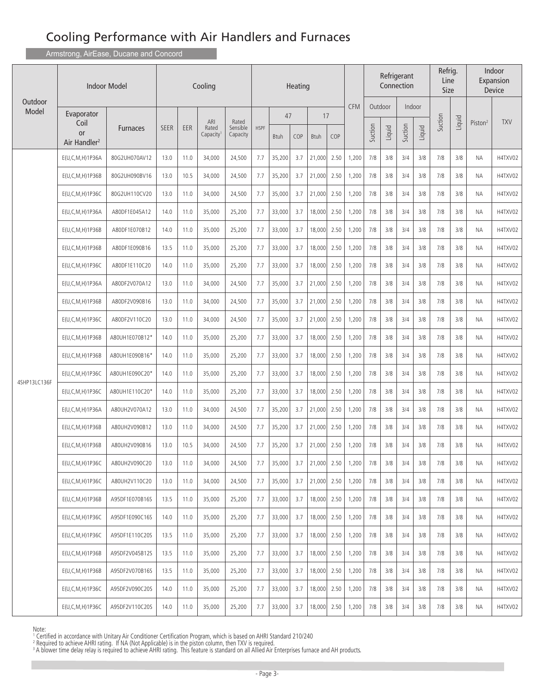Armstrong, AirEase, Ducane and Concord

|                  |                                               | <b>Indoor Model</b> |             |      | Cooling                               |                               | Heating     |             |     |             |      |            | Refrigerant<br>Connection |        |         |        | Refrig.<br>Line<br>Size |        |                     | Indoor<br>Expansion<br>Device |
|------------------|-----------------------------------------------|---------------------|-------------|------|---------------------------------------|-------------------------------|-------------|-------------|-----|-------------|------|------------|---------------------------|--------|---------|--------|-------------------------|--------|---------------------|-------------------------------|
| Outdoor<br>Model | Evaporator                                    |                     |             |      |                                       |                               |             | 47          |     | 17          |      | <b>CFM</b> | Outdoor                   |        |         | Indoor |                         |        |                     |                               |
|                  | Coil<br><b>or</b><br>Air Handler <sup>2</sup> | <b>Furnaces</b>     | <b>SEER</b> | EER  | ARI<br>Rated<br>Capacity <sup>1</sup> | Rated<br>Sensible<br>Capacity | <b>HSPF</b> | <b>Btuh</b> | COP | <b>Btuh</b> | COP  |            | Suction                   | Liquid | Suction | Liquid | Suction                 | Liquid | Piston <sup>2</sup> | <b>TXV</b>                    |
|                  | E(U,C,M,H)1P36A                               | 80G2UH070AV12       | 13.0        | 11.0 | 34,000                                | 24,500                        | 7.7         | 35,200      | 3.7 | 21,000      | 2.50 | 1,200      | 7/8                       | 3/8    | 3/4     | 3/8    | 7/8                     | 3/8    | ΝA                  | H4TXV02                       |
|                  | $E(U, C, M, H)$ 1P36B                         | 80G2UH090BV16       | 13.0        | 10.5 | 34,000                                | 24,500                        | 7.7         | 35,200      | 3.7 | 21,000      | 2.50 | 1,200      | 7/8                       | 3/8    | 3/4     | 3/8    | 7/8                     | 3/8    | ΝA                  | H4TXV02                       |
|                  | E(U,C,M,H)1P36C                               | 80G2UH110CV20       | 13.0        | 11.0 | 34,000                                | 24,500                        | 7.7         | 35,000      | 3.7 | 21,000      | 2.50 | 1,200      | 7/8                       | 3/8    | 3/4     | 3/8    | 7/8                     | 3/8    | ΝA                  | H4TXV02                       |
|                  | E(U,C,M,H)1P36A                               | A80DF1E045A12       | 14.0        | 11.0 | 35,000                                | 25,200                        | 7.7         | 33,000      | 3.7 | 18,000      | 2.50 | 1,200      | 7/8                       | 3/8    | 3/4     | 3/8    | 7/8                     | 3/8    | ΝA                  | H4TXV02                       |
|                  | E(U, C, M, H) 1P36B                           | A80DF1E070B12       | 14.0        | 11.0 | 35,000                                | 25,200                        | 7.7         | 33,000      | 3.7 | 18,000      | 2.50 | 1,200      | 7/8                       | 3/8    | 3/4     | 3/8    | 7/8                     | 3/8    | ΝA                  | H4TXV02                       |
|                  | E(U,C,M,H)1P36B                               | A80DF1E090B16       | 13.5        | 11.0 | 35,000                                | 25,200                        | 7.7         | 33,000      | 3.7 | 18,000      | 2.50 | 1,200      | 7/8                       | 3/8    | 3/4     | 3/8    | 7/8                     | 3/8    | ΝA                  | H4TXV02                       |
|                  | E(U,C,M,H)1P36C                               | A80DF1E110C20       | 14.0        | 11.0 | 35,000                                | 25,200                        | 7.7         | 33,000      | 3.7 | 18,000      | 2.50 | 1,200      | 7/8                       | 3/8    | 3/4     | 3/8    | 7/8                     | 3/8    | ΝA                  | H4TXV02                       |
|                  | E(U,C,M,H)1P36A                               | A80DF2V070A12       | 13.0        | 11.0 | 34,000                                | 24,500                        | 7.7         | 35,000      | 3.7 | 21,000      | 2.50 | 1,200      | 7/8                       | 3/8    | 3/4     | 3/8    | 7/8                     | 3/8    | ΝA                  | H4TXV02                       |
|                  | E(U,C,M,H)1P36B                               | A80DF2V090B16       | 13.0        | 11.0 | 34,000                                | 24,500                        | 7.7         | 35,000      | 3.7 | 21,000      | 2.50 | 1,200      | 7/8                       | 3/8    | 3/4     | 3/8    | 7/8                     | 3/8    | ΝA                  | H4TXV02                       |
|                  | $E(U, C, M, H)$ 1P36C                         | A80DF2V110C20       | 13.0        | 11.0 | 34,000                                | 24,500                        | 7.7         | 35,000      | 3.7 | 21,000      | 2.50 | 1,200      | 7/8                       | 3/8    | 3/4     | 3/8    | 7/8                     | 3/8    | ΝA                  | H4TXV02                       |
|                  | E(U,C,M,H)1P36B                               | A80UH1E070B12*      | 14.0        | 11.0 | 35,000                                | 25,200                        | 7.7         | 33,000      | 3.7 | 18,000      | 2.50 | 1,200      | 7/8                       | 3/8    | 3/4     | 3/8    | 7/8                     | 3/8    | ΝA                  | H4TXV02                       |
|                  | E(U, C, M, H) 1P36B                           | A80UH1E090B16*      | 14.0        | 11.0 | 35,000                                | 25,200                        | 7.7         | 33,000      | 3.7 | 18,000      | 2.50 | 1,200      | 7/8                       | 3/8    | 3/4     | 3/8    | 7/8                     | 3/8    | <b>NA</b>           | H4TXV02                       |
|                  | E(U,C,M,H)1P36C                               | A80UH1E090C20*      | 14.0        | 11.0 | 35,000                                | 25,200                        | 7.7         | 33,000      | 3.7 | 18,000      | 2.50 | 1,200      | 7/8                       | 3/8    | 3/4     | 3/8    | 7/8                     | 3/8    | ΝA                  | H4TXV02                       |
| 4SHP13LC136F     | E(U, C, M, H) 1P36C                           | A80UH1E110C20*      | 14.0        | 11.0 | 35,000                                | 25,200                        | 7.7         | 33,000      | 3.7 | 18,000      | 2.50 | 1,200      | 7/8                       | 3/8    | 3/4     | 3/8    | 7/8                     | 3/8    | ΝA                  | H4TXV02                       |
|                  | E(U,C,M,H)1P36A                               | A80UH2V070A12       | 13.0        | 11.0 | 34,000                                | 24,500                        | 7.7         | 35,200      | 3.7 | 21,000      | 2.50 | 1,200      | 7/8                       | 3/8    | 3/4     | 3/8    | 7/8                     | 3/8    | ΝA                  | H4TXV02                       |
|                  | $E(U, C, M, H)$ 1P36B                         | A80UH2V090B12       | 13.0        | 11.0 | 34,000                                | 24,500                        | 7.7         | 35,200      | 3.7 | 21,000      | 2.50 | 1,200      | 7/8                       | 3/8    | 3/4     | 3/8    | 7/8                     | 3/8    | NА                  | H4TXV02                       |
|                  | E(U,C,M,H)1P36B                               | A80UH2V090B16       | 13.0        | 10.5 | 34,000                                | 24,500                        | 7.7         | 35,200      | 3.7 | 21,000      | 2.50 | 1,200      | 7/8                       | 3/8    | 3/4     | 3/8    | 7/8                     | 3/8    | ΝA                  | H4TXV02                       |
|                  | E(U,C,M,H)1P36C                               | A80UH2V090C20       | 13.0        | 11.0 | 34,000                                | 24,500                        | 7.7         | 35,000      | 3.7 | 21,000      | 2.50 | 1,200      | 7/8                       | 3/8    | 3/4     | 3/8    | 7/8                     | 3/8    | ΝA                  | H4TXV02                       |
|                  | E(U,C,M,H)1P36C                               | A80UH2V110C20       | 13.0        | 11.0 | 34,000                                | 24,500                        | 7.7         | 35,000      | 3.7 | 21,000      | 2.50 | 1,200      | 7/8                       | 3/8    | 3/4     | 3/8    | 7/8                     | 3/8    | NA.                 | H4TXV02                       |
|                  | E(U, C, M, H) 1P36B                           | A95DF1E070B16S      | 13.5        | 11.0 | 35,000                                | 25,200                        | 7.7         | 33,000      | 3.7 | 18,000      | 2.50 | 1,200      | 7/8                       | 3/8    | 3/4     | 3/8    | 7/8                     | 3/8    | ΝA                  | H4TXV02                       |
|                  | E(U,C,M,H)1P36C                               | A95DF1E090C16S      | 14.0        | 11.0 | 35,000                                | 25,200                        | 7.7         | 33,000      | 3.7 | 18,000      | 2.50 | 1,200      | 7/8                       | 3/8    | 3/4     | 3/8    | 7/8                     | 3/8    | ΝA                  | H4TXV02                       |
|                  | $E(U, C, M, H)$ 1P36C                         | A95DF1E110C20S      | 13.5        | 11.0 | 35,000                                | 25,200                        | 7.7         | 33,000      | 3.7 | 18,000      | 2.50 | 1,200      | 7/8                       | 3/8    | 3/4     | 3/8    | 7/8                     | 3/8    | ΝA                  | H4TXV02                       |
|                  | E(U,C,M,H)1P36B                               | A95DF2V045B12S      | 13.5        | 11.0 | 35,000                                | 25,200                        | 7.7         | 33,000      | 3.7 | 18,000      | 2.50 | 1,200      | 7/8                       | 3/8    | 3/4     | 3/8    | 7/8                     | 3/8    | ΝA                  | H4TXV02                       |
|                  | E(U,C,M,H)1P36B                               | A95DF2V070B16S      | 13.5        | 11.0 | 35,000                                | 25,200                        | 7.7         | 33,000      | 3.7 | 18,000      | 2.50 | 1,200      | 7/8                       | 3/8    | 3/4     | 3/8    | 7/8                     | 3/8    | ΝA                  | H4TXV02                       |
|                  | $E(U, C, M, H)$ 1P36C                         | A95DF2V090C20S      | 14.0        | 11.0 | 35,000                                | 25,200                        | 7.7         | 33,000      | 3.7 | 18,000      | 2.50 | 1,200      | 7/8                       | 3/8    | 3/4     | 3/8    | 7/8                     | 3/8    | ΝA                  | H4TXV02                       |
|                  | E(U, C, M, H) 1P36C                           | A95DF2V110C20S      | 14.0        | 11.0 | 35,000                                | 25,200                        | 7.7         | 33,000      | 3.7 | 18,000      | 2.50 | 1,200      | 7/8                       | 3/8    | 3/4     | 3/8    | 7/8                     | 3/8    | ΝA                  | H4TXV02                       |

Note:<br>' Certified in accordance with Unitary Air Conditioner Certification Program, which is based on AHRI Standard 210/240<br>2 Required to achieve AHRI rating . If NA (Not Anglicable) is in the piston column, then TXV is re

<sup>2</sup> Required to achieve AHRI rating. If NA (Not Applicable) is in the piston column, then TXV is required.<br><sup>3</sup> A blower time delay relay is required to achieve AHRI rating. This feature is standard on all Allied Air F

A blower time delay relay is required to achieve AHRI rating. This feature is standard on all Allied Air Enterprises furnace and AH products.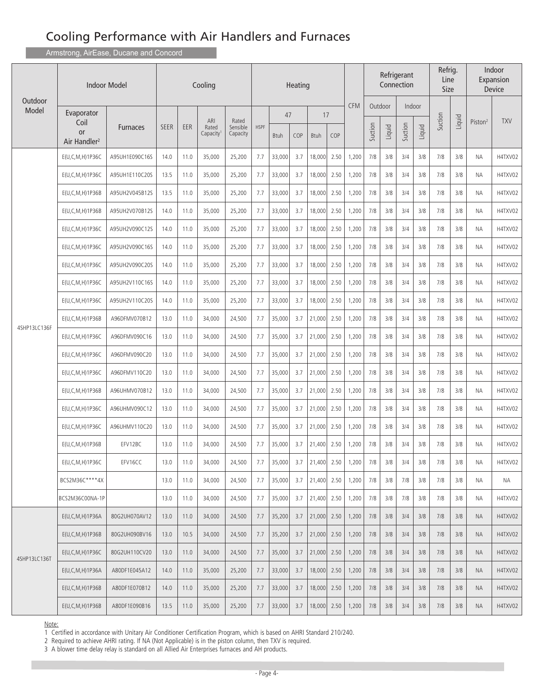Armstrong, AirEase, Ducane and Concord

|                  |                                        | <b>Indoor Model</b> | Cooling     |      |                                       |                               | Heating     |             |     |             |      | Refrigerant<br>Connection |         |         |         |        | Refrig.<br>Line<br>Size |        |                     | Indoor<br>Expansion<br>Device |
|------------------|----------------------------------------|---------------------|-------------|------|---------------------------------------|-------------------------------|-------------|-------------|-----|-------------|------|---------------------------|---------|---------|---------|--------|-------------------------|--------|---------------------|-------------------------------|
| Outdoor<br>Model | Evaporator                             |                     |             |      |                                       |                               |             | 47          |     |             | 17   | <b>CFM</b>                |         | Outdoor |         | Indoor |                         |        |                     |                               |
|                  | Coil<br>or<br>Air Handler <sup>2</sup> | <b>Furnaces</b>     | <b>SEER</b> | EER  | ARI<br>Rated<br>Capacity <sup>1</sup> | Rated<br>Sensible<br>Capacity | <b>HSPF</b> | <b>Btuh</b> | COP | <b>Btuh</b> | COP  |                           | Suction | Liquid  | Suction | Liquid | Suction                 | Liquid | Piston <sup>2</sup> | <b>TXV</b>                    |
|                  | E(U,C,M,H)1P36C                        | A95UH1E090C16S      | 14.0        | 11.0 | 35,000                                | 25,200                        | 7.7         | 33,000      | 3.7 | 18,000      | 2.50 | 1,200                     | 7/8     | 3/8     | 3/4     | 3/8    | 7/8                     | 3/8    | <b>ΝΑ</b>           | H4TXV02                       |
|                  | E(U, C, M, H) 1P36C                    | A95UH1E110C20S      | 13.5        | 11.0 | 35,000                                | 25,200                        | 7.7         | 33,000      | 3.7 | 18,000      | 2.50 | 1,200                     | 7/8     | 3/8     | 3/4     | 3/8    | 7/8                     | 3/8    | ΝA                  | H4TXV02                       |
|                  | E(U,C,M,H)1P36B                        | A95UH2V045B12S      | 13.5        | 11.0 | 35,000                                | 25,200                        | 7.7         | 33,000      | 3.7 | 18,000      | 2.50 | 1,200                     | 7/8     | 3/8     | 3/4     | 3/8    | 7/8                     | 3/8    | <b>NA</b>           | H4TXV02                       |
|                  | E(U,C,M,H)1P36B                        | A95UH2V070B12S      | 14.0        | 11.0 | 35,000                                | 25,200                        | 7.7         | 33,000      | 3.7 | 18,000      | 2.50 | 1,200                     | 7/8     | 3/8     | 3/4     | 3/8    | 7/8                     | 3/8    | ΝA                  | H4TXV02                       |
|                  | E(U,C,M,H)1P36C                        | A95UH2V090C12S      | 14.0        | 11.0 | 35,000                                | 25,200                        | 7.7         | 33,000      | 3.7 | 18,000      | 2.50 | 1,200                     | 7/8     | 3/8     | 3/4     | 3/8    | 7/8                     | 3/8    | NA.                 | H4TXV02                       |
|                  | $E(U, C, M, H)$ 1P36C                  | A95UH2V090C16S      | 14.0        | 11.0 | 35,000                                | 25,200                        | 7.7         | 33,000      | 3.7 | 18,000      | 2.50 | 1,200                     | 7/8     | 3/8     | 3/4     | 3/8    | 7/8                     | 3/8    | ΝA                  | H4TXV02                       |
|                  | $E(U, C, M, H)$ 1P36C                  | A95UH2V090C20S      | 14.0        | 11.0 | 35,000                                | 25,200                        | 7.7         | 33,000      | 3.7 | 18,000      | 2.50 | 1,200                     | 7/8     | 3/8     | 3/4     | 3/8    | 7/8                     | 3/8    | ΝA                  | H4TXV02                       |
|                  | E(U,C,M,H)1P36C                        | A95UH2V110C16S      | 14.0        | 11.0 | 35,000                                | 25,200                        | 7.7         | 33,000      | 3.7 | 18,000      | 2.50 | 1,200                     | 7/8     | 3/8     | 3/4     | 3/8    | 7/8                     | 3/8    | ΝA                  | H4TXV02                       |
|                  | $E(U, C, M, H)$ 1P36C                  | A95UH2V110C20S      | 14.0        | 11.0 | 35,000                                | 25,200                        | 7.7         | 33,000      | 3.7 | 18,000      | 2.50 | 1,200                     | 7/8     | 3/8     | 3/4     | 3/8    | 7/8                     | 3/8    | <b>NA</b>           | H4TXV02                       |
|                  | E(U,C,M,H)1P36B                        | A96DFMV070B12       | 13.0        | 11.0 | 34,000                                | 24,500                        | 7.7         | 35,000      | 3.7 | 21,000      | 2.50 | 1,200                     | 7/8     | 3/8     | 3/4     | 3/8    | 7/8                     | 3/8    | ΝA                  | H4TXV02                       |
| 4SHP13LC136F     | E(U,C,M,H)1P36C                        | A96DFMV090C16       | 13.0        | 11.0 | 34,000                                | 24,500                        | 7.7         | 35,000      | 3.7 | 21,000      | 2.50 | 1,200                     | 7/8     | 3/8     | 3/4     | 3/8    | 7/8                     | 3/8    | ΝA                  | H4TXV02                       |
|                  | $E(U, C, M, H)$ 1P36C                  | A96DFMV090C20       | 13.0        | 11.0 | 34,000                                | 24,500                        | 7.7         | 35,000      | 3.7 | 21,000      | 2.50 | 1,200                     | 7/8     | 3/8     | 3/4     | 3/8    | 7/8                     | 3/8    | NA.                 | H4TXV02                       |
|                  | E(U,C,M,H)1P36C                        | A96DFMV110C20       | 13.0        | 11.0 | 34,000                                | 24,500                        | 7.7         | 35,000      | 3.7 | 21,000      | 2.50 | 1,200                     | 7/8     | 3/8     | 3/4     | 3/8    | 7/8                     | 3/8    | ΝA                  | H4TXV02                       |
|                  | E(U,C,M,H)1P36B                        | A96UHMV070B12       | 13.0        | 11.0 | 34,000                                | 24,500                        | 7.7         | 35,000      | 3.7 | 21,000      | 2.50 | 1,200                     | 7/8     | 3/8     | 3/4     | 3/8    | 7/8                     | 3/8    | ΝA                  | H4TXV02                       |
|                  | E(U,C,M,H)1P36C                        | A96UHMV090C12       | 13.0        | 11.0 | 34,000                                | 24,500                        | 7.7         | 35,000      | 3.7 | 21,000      | 2.50 | 1,200                     | 7/8     | 3/8     | 3/4     | 3/8    | 7/8                     | 3/8    | ΝA                  | H4TXV02                       |
|                  | $E(U, C, M, H)$ 1P36C                  | A96UHMV110C20       | 13.0        | 11.0 | 34,000                                | 24,500                        | 7.7         | 35,000      | 3.7 | 21,000      | 2.50 | 1,200                     | 7/8     | 3/8     | 3/4     | 3/8    | 7/8                     | 3/8    | ΝA                  | H4TXV02                       |
|                  | E(U,C,M,H)1P36B                        | EFV12BC             | 13.0        | 11.0 | 34,000                                | 24,500                        | 7.7         | 35,000      | 3.7 | 21,400      | 2.50 | 1,200                     | 7/8     | 3/8     | 3/4     | 3/8    | 7/8                     | 3/8    | NA.                 | H4TXV02                       |
|                  | E(U,C,M,H)1P36C                        | EFV16CC             | 13.0        | 11.0 | 34,000                                | 24,500                        | 7.7         | 35,000      | 3.7 | 21,400      | 2.50 | 1,200                     | 7/8     | 3/8     | 3/4     | 3/8    | 7/8                     | 3/8    | ΝA                  | H4TXV02                       |
|                  | BCS2M36C****4X                         |                     | 13.0        | 11.0 | 34,000                                | 24,500                        | 7.7         | 35,000      | 3.7 | 21,400      | 2.50 | 1,200                     | 7/8     | 3/8     | 7/8     | 3/8    | 7/8                     | 3/8    | NА                  | NA                            |
|                  | BCS2M36C00NA-1P                        |                     | 13.0        | 11.0 | 34,000                                | 24,500                        | 7.7         | 35,000      | 3.7 | 21,400      | 2.50 | 1,200                     | 7/8     | 3/8     | 7/8     | 3/8    | 7/8                     | 3/8    | ΝA                  | H4TXV02                       |
|                  | $E(U, C, M, H)$ 1P36A                  | 80G2UH070AV12       | 13.0        | 11.0 | 34,000                                | 24,500                        | 7.7         | 35,200      | 3.7 | 21,000      | 2.50 | 1,200                     | 7/8     | 3/8     | 3/4     | 3/8    | 7/8                     | 3/8    | NA.                 | H4TXV02                       |
|                  | $E(U, C, M, H)$ 1P36B                  | 80G2UH090BV16       | 13.0        | 10.5 | 34,000                                | 24,500                        | 7.7         | 35,200      | 3.7 | 21,000      | 2.50 | 1,200                     | 7/8     | 3/8     | 3/4     | 3/8    | 7/8                     | 3/8    | NA.                 | H4TXV02                       |
| 4SHP13LC136T     | $E(U, C, M, H)$ 1P36C                  | 80G2UH110CV20       | 13.0        | 11.0 | 34,000                                | 24,500                        | 7.7         | 35,000      | 3.7 | 21,000      | 2.50 | 1,200                     | 7/8     | 3/8     | 3/4     | 3/8    | 7/8                     | 3/8    | NA.                 | H4TXV02                       |
|                  | $E(U, C, M, H)$ 1P36A                  | A80DF1E045A12       | 14.0        | 11.0 | 35,000                                | 25,200                        | 7.7         | 33,000      | 3.7 | 18,000      | 2.50 | 1,200                     | 7/8     | 3/8     | 3/4     | 3/8    | 7/8                     | 3/8    | NA.                 | H4TXV02                       |
|                  | $E(U, C, M, H)$ 1P36B                  | A80DF1E070B12       | 14.0        | 11.0 | 35,000                                | 25,200                        | 7.7         | 33,000      | 3.7 | 18,000      | 2.50 | 1,200                     | 7/8     | 3/8     | 3/4     | 3/8    | 7/8                     | 3/8    | NA.                 | H4TXV02                       |
|                  | $E(U, C, M, H)$ 1P36B                  | A80DF1E090B16       | 13.5        | 11.0 | 35,000                                | 25,200                        | 7.7         | 33,000      | 3.7 | 18,000      | 2.50 | 1,200                     | 7/8     | 3/8     | 3/4     | 3/8    | 7/8                     | 3/8    | <b>NA</b>           | H4TXV02                       |

#### Note:

1 Certified in accordance with Unitary Air Conditioner Certification Program, which is based on AHRI Standard 210/240.

2 Required to achieve AHRI rating. If NA (Not Applicable) is in the piston column, then TXV is required.

3 A blower time delay relay is standard on all Allied Air Enterprises furnaces and AH products.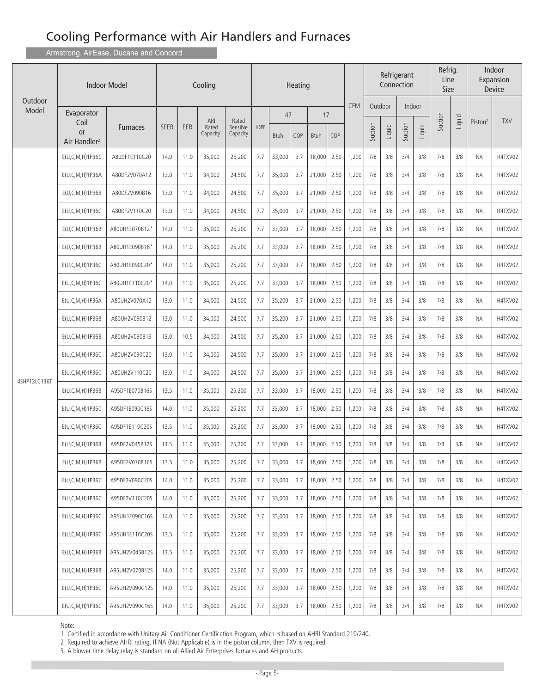Armstrong, AirEase, Ducane and Concord

|                  | Indoor Model                                                | Cooling         |             |        |                                       | Heating                       |             |             |     | Refrig.<br>Refrigerant<br>Line<br>Connection<br>Size |      |            |         |         |         |         | Indoor<br>Expansion<br>Device |        |                     |            |
|------------------|-------------------------------------------------------------|-----------------|-------------|--------|---------------------------------------|-------------------------------|-------------|-------------|-----|------------------------------------------------------|------|------------|---------|---------|---------|---------|-------------------------------|--------|---------------------|------------|
| Outdoor<br>Model | Evaporator                                                  |                 |             |        |                                       |                               |             | 47          |     | 17                                                   |      | <b>CFM</b> |         | Outdoor | Indoor  |         |                               |        |                     |            |
|                  | Coil<br><b>or</b><br>Air Handler <sup>2</sup>               | <b>Furnaces</b> | <b>SEER</b> | EER    | ARI<br>Rated<br>Capacity <sup>1</sup> | Rated<br>Sensible<br>Capacity | <b>HSPF</b> | <b>Btuh</b> | COP | <b>Btuh</b>                                          | COP  |            | Suction | Liquid  | Suction | Liquid  | Suction                       | Liquid | Piston <sup>2</sup> | <b>TXV</b> |
|                  | E(U,C,M,H)1P36C                                             | A80DF1E110C20   | 14.0        | 11.0   | 35,000                                | 25,200                        | 7.7         | 33,000      | 3.7 | 18,000                                               | 2.50 | 1,200      | 7/8     | 3/8     | 3/4     | 3/8     | 7/8                           | 3/8    | ΝA                  | H4TXV02    |
|                  | $E(U, C, M, H)$ 1P36A                                       | A80DF2V070A12   | 13.0        | 11.0   | 34,000                                | 24,500                        | 7.7         | 35,000      | 3.7 | 21,000                                               | 2.50 | 1,200      | 7/8     | 3/8     | 3/4     | 3/8     | 7/8                           | 3/8    | ΝA                  | H4TXV02    |
|                  | E(U,C,M,H)1P36B                                             | A80DF2V090B16   | 13.0        | 11.0   | 34,000                                | 24,500                        | 7.7         | 35,000      | 3.7 | 21,000                                               | 2.50 | 1,200      | 7/8     | 3/8     | 3/4     | 3/8     | 7/8                           | 3/8    | ΝA                  | H4TXV02    |
|                  | E(U, C, M, H) 1P36C                                         | A80DF2V110C20   | 13.0        | 11.0   | 34,000                                | 24,500                        | 7.7         | 35,000      | 3.7 | 21,000                                               | 2.50 | 1,200      | 7/8     | 3/8     | 3/4     | 3/8     | 7/8                           | 3/8    | ΝA                  | H4TXV02    |
|                  | E(U, C, M, H) 1P36B                                         | A80UH1E070B12*  | 14.0        | 11.0   | 35,000                                | 25,200                        | 7.7         | 33,000      | 3.7 | 18,000                                               | 2.50 | 1,200      | 7/8     | 3/8     | 3/4     | 3/8     | 7/8                           | 3/8    | ΝA                  | H4TXV02    |
|                  | E(U,C,M,H)1P36B                                             | A80UH1E090B16*  | 14.0        | 11.0   | 35,000                                | 25,200                        | 7.7         | 33,000      | 3.7 | 18,000                                               | 2.50 | 1,200      | 7/8     | 3/8     | 3/4     | 3/8     | 7/8                           | 3/8    | ΝA                  | H4TXV02    |
|                  | $E(U, C, M, H)$ 1P36C                                       | A80UH1E090C20*  | 14.0        | 11.0   | 35,000                                | 25,200                        | 7.7         | 33,000      | 3.7 | 18,000                                               | 2.50 | 1,200      | 7/8     | 3/8     | 3/4     | 3/8     | 7/8                           | 3/8    | ΝA                  | H4TXV02    |
|                  | E(U,C,M,H)1P36C                                             | A80UH1E110C20*  | 14.0        | 11.0   | 35,000                                | 25,200                        | 7.7         | 33,000      | 3.7 | 18,000                                               | 2.50 | 1,200      | 7/8     | 3/8     | 3/4     | 3/8     | 7/8                           | 3/8    | ΝA                  | H4TXV02    |
|                  | E(U,C,M,H)1P36A                                             | A80UH2V070A12   | 13.0        | 11.0   | 34,000                                | 24,500                        | 7.7         | 35,200      | 3.7 | 21,000                                               | 2.50 | 1,200      | 7/8     | 3/8     | 3/4     | 3/8     | 7/8                           | 3/8    | NA.                 | H4TXV02    |
|                  | E(U,C,M,H)1P36B                                             | A80UH2V090B12   | 13.0        | 11.0   | 34,000                                | 24,500                        | 7.7         | 35,200      | 3.7 | 21,000                                               | 2.50 | 1,200      | 7/8     | 3/8     | 3/4     | 3/8     | 7/8                           | 3/8    | ΝA                  | H4TXV02    |
|                  | E(U,C,M,H)1P36B                                             | A80UH2V090B16   | 13.0        | 10.5   | 34,000                                | 24,500                        | 7.7         | 35,200      | 3.7 | 21,000                                               | 2.50 | 1,200      | 7/8     | 3/8     | 3/4     | 3/8     | 7/8                           | 3/8    | ΝA                  | H4TXV02    |
|                  | $E(U, C, M, H)$ 1P36C                                       | A80UH2V090C20   | 13.0        | 11.0   | 34,000                                | 24,500                        | 7.7         | 35,000      | 3.7 | 21,000                                               | 2.50 | 1,200      | 7/8     | 3/8     | 3/4     | 3/8     | 7/8                           | 3/8    | NA.                 | H4TXV02    |
| 4SHP13LC136T     | E(U, C, M, H) 1P36C                                         | A80UH2V110C20   | 13.0        | 11.0   | 34,000                                | 24,500                        | 7.7         | 35,000      | 3.7 | 21,000                                               | 2.50 | 1,200      | 7/8     | 3/8     | 3/4     | 3/8     | 7/8                           | 3/8    | ΝA                  | H4TXV02    |
|                  | E(U,C,M,H)1P36B                                             | A95DF1E070B16S  | 13.5        | 11.0   | 35,000                                | 25,200                        | 7.7         | 33,000      | 3.7 | 18,000                                               | 2.50 | 1,200      | 7/8     | 3/8     | 3/4     | 3/8     | 7/8                           | 3/8    | ΝA                  | H4TXV02    |
|                  | E(U,C,M,H)1P36C                                             | A95DF1E090C16S  | 14.0        | 11.0   | 35,000                                | 25,200                        | 7.7         | 33,000      | 3.7 | 18,000                                               | 2.50 | 1,200      | 7/8     | 3/8     | 3/4     | 3/8     | 7/8                           | 3/8    | ΝA                  | H4TXV02    |
|                  | E(U,C,M,H)1P36C                                             | A95DF1E110C20S  | 13.5        | 11.0   | 35,000                                | 25,200                        | 7.7         | 33,000      | 3.7 | 18,000                                               | 2.50 | 1,200      | 7/8     | 3/8     | 3/4     | 3/8     | 7/8                           | 3/8    | ΝA                  | H4TXV02    |
|                  | $E(U, C, M, H)$ 1P36B                                       | A95DF2V045B12S  | 13.5        | 11.0   | 35,000                                | 25,200                        | 7.7         | 33,000      | 3.7 | 18,000                                               | 2.50 | 1,200      | 7/8     | 3/8     | 3/4     | 3/8     | 7/8                           | 3/8    | <b>NA</b>           | H4TXV02    |
|                  | E(U,C,M,H)1P36B                                             | A95DF2V070B16S  | 13.5        | 11.0   | 35,000                                | 25,200                        | 7.7         | 33,000      | 3.7 | 18,000                                               | 2.50 | 1,200      | 7/8     | 3/8     | 3/4     | 3/8     | 7/8                           | 3/8    | ΝA                  | H4TXV02    |
|                  | $E(U, C, M, H)$ 1P36C                                       | A95DF2V090C20S  | 14.0        | 11.0   | 35,000                                | 25,200                        | 7.7         | 33,000      | 3.7 | 18,000                                               | 2.50 | 1,200      | 7/8     | 3/8     | 3/4     | 3/8     | 7/8                           | 3/8    | ΝA                  | H4TXV02    |
|                  | E(U, C, M, H) 1P36C                                         | A95DF2V110C20S  | 14.0        | 11.0   | 35,000                                | 25,200                        | 7.7         | 33,000      | 3.7 | 18,000                                               | 2.50 | 1,200      | 7/8     | 3/8     | 3/4     | 3/8     | 7/8                           | 3/8    | ΝA                  | H4TXV02    |
|                  | E(U, C, M, H) 1P36C                                         | A95UH1E090C16S  | 14.0        | 11.0   | 35,000                                | 25,200                        | 7.7         | 33,000      | 3.7 | 18,000                                               | 2.50 | 1,200      | 7/8     | 3/8     | 3/4     | 3/8     | 7/8                           | 3/8    | ΝA                  | H4TXV02    |
|                  | $E(U, C, M, H)$ 1P36C                                       | A95UH1E110C20S  | 13.5        | 11.0   | 35,000                                | 25,200                        | 7.7         | 33,000      | 3.7 | 18,000                                               | 2.50 | 1,200      | 7/8     | 3/8     | 3/4     | 3/8     | 7/8                           | 3/8    | ΝA                  | H4TXV02    |
|                  | E(U,C,M,H)1P36B                                             | A95UH2V045B12S  | 13.5        | 11.0   | 35,000                                | 25,200                        | 7.7         | 33,000      | 3.7 | 18,000                                               | 2.50 | 1,200      | 7/8     | 3/8     | 3/4     | 3/8     | 7/8                           | 3/8    | ΝA                  | H4TXV02    |
|                  | E(U,C,M,H)1P36B<br>A95UH2V070B12S<br>14.0<br>11.0<br>35,000 | 25,200          | 7.7         | 33,000 | 3.7                                   | 18,000                        | 2.50        | 1,200       | 7/8 | 3/8                                                  | 3/4  | 3/8        | 7/8     | 3/8     | ΝA      | H4TXV02 |                               |        |                     |            |
|                  | $E(U, C, M, H)$ 1P36C                                       | A95UH2V090C12S  | 14.0        | 11.0   | 35,000                                | 25,200                        | 7.7         | 33,000      | 3.7 | 18,000                                               | 2.50 | 1,200      | 7/8     | 3/8     | 3/4     | 3/8     | 7/8                           | 3/8    | ΝA                  | H4TXV02    |
|                  | $E(U, C, M, H)$ 1P36C                                       | A95UH2V090C16S  | 14.0        | 11.0   | 35,000                                | 25,200                        | 7.7         | 33,000      | 3.7 | 18,000                                               | 2.50 | 1,200      | 7/8     | 3/8     | 3/4     | 3/8     | 7/8                           | 3/8    | ΝA                  | H4TXV02    |

Note:

1 Certified in accordance with Unitary Air Conditioner Certification Program, which is based on AHRI Standard 210/240.

2 Required to achieve AHRI rating. If NA (Not Applicable) is in the piston column, then TXV is required.

3 A blower time delay relay is standard on all Allied Air Enterprises furnaces and AH products.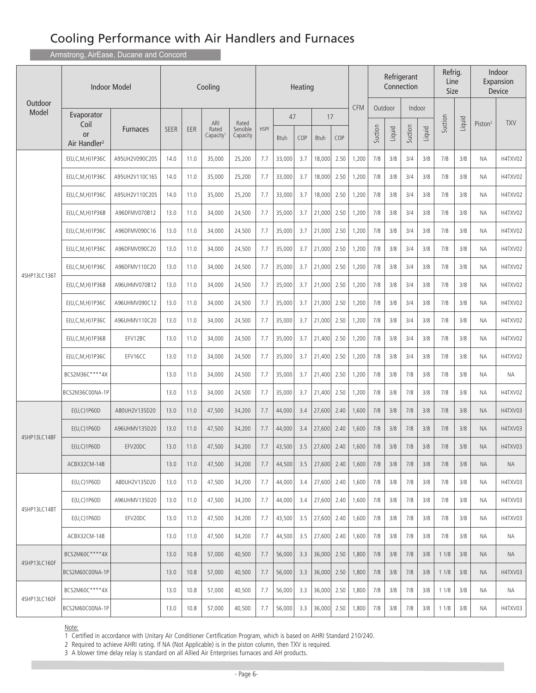Armstrong, AirEase, Ducane and Concord

| <b>Indoor Model</b><br>Outdoor |                                               |                 |             |            | Cooling                  |                               |             |             | Heating |               |      |            | Refrigerant<br>Connection |         |         |        | Refrig.<br>Line<br>Size |        |                     | Indoor<br>Expansion<br>Device |
|--------------------------------|-----------------------------------------------|-----------------|-------------|------------|--------------------------|-------------------------------|-------------|-------------|---------|---------------|------|------------|---------------------------|---------|---------|--------|-------------------------|--------|---------------------|-------------------------------|
| Model                          | Evaporator                                    |                 |             |            |                          |                               |             | 47          |         | 17            |      | <b>CFM</b> |                           | Outdoor | Indoor  |        |                         |        |                     |                               |
|                                | Coil<br><b>or</b><br>Air Handler <sup>2</sup> | <b>Furnaces</b> | <b>SEER</b> | <b>EER</b> | ARI<br>Rated<br>Capacity | Rated<br>Sensible<br>Capacity | <b>HSPF</b> | <b>Btuh</b> | COP     | <b>Btuh</b>   | COP  |            | Suction                   | Liquid  | Suction | Liquid | Suction                 | Liquid | Piston <sup>2</sup> | <b>TXV</b>                    |
|                                | E(U,C,M,H)1P36C                               | A95UH2V090C20S  | 14.0        | 11.0       | 35,000                   | 25,200                        | 7.7         | 33,000      | 3.7     | 18,000        | 2.50 | 1,200      | 7/8                       | 3/8     | 3/4     | 3/8    | 7/8                     | 3/8    | ΝA                  | H4TXV02                       |
|                                | $E(U, C, M, H)$ 1P36C                         | A95UH2V110C16S  | 14.0        | 11.0       | 35,000                   | 25,200                        | 7.7         | 33,000      | 3.7     | 18,000        | 2.50 | 1,200      | 7/8                       | 3/8     | 3/4     | 3/8    | 7/8                     | 3/8    | ΝA                  | H4TXV02                       |
|                                | $E(U, C, M, H)$ 1P36C                         | A95UH2V110C20S  | 14.0        | 11.0       | 35,000                   | 25,200                        | 7.7         | 33,000      | 3.7     | 18,000        | 2.50 | 1,200      | 7/8                       | 3/8     | 3/4     | 3/8    | 7/8                     | 3/8    | ΝA                  | H4TXV02                       |
|                                | E(U, C, M, H) 1P36B                           | A96DFMV070B12   | 13.0        | 11.0       | 34,000                   | 24,500                        | 7.7         | 35,000      | 3.7     | 21,000        | 2.50 | 1,200      | 7/8                       | 3/8     | 3/4     | 3/8    | 7/8                     | 3/8    | ΝA                  | H4TXV02                       |
|                                | E(U,C,M,H)1P36C                               | A96DFMV090C16   | 13.0        | 11.0       | 34,000                   | 24,500                        | 7.7         | 35,000      | 3.7     | 21,000        | 2.50 | 1,200      | 7/8                       | 3/8     | 3/4     | 3/8    | 7/8                     | 3/8    | ΝA                  | H4TXV02                       |
|                                | $E(U, C, M, H)$ 1P36C                         | A96DFMV090C20   | 13.0        | 11.0       | 34,000                   | 24,500                        | 7.7         | 35,000      | 3.7     | 21,000        | 2.50 | 1,200      | 7/8                       | 3/8     | 3/4     | 3/8    | 7/8                     | 3/8    | ΝA                  | H4TXV02                       |
| 4SHP13LC136T                   | E(U,C,M,H)1P36C                               | A96DFMV110C20   | 13.0        | 11.0       | 34,000                   | 24,500                        | 7.7         | 35,000      | 3.7     | 21,000        | 2.50 | 1,200      | 7/8                       | 3/8     | 3/4     | 3/8    | 7/8                     | 3/8    | ΝA                  | H4TXV02                       |
|                                | E(U,C,M,H)1P36B                               | A96UHMV070B12   | 13.0        | 11.0       | 34,000                   | 24,500                        | 7.7         | 35,000      | 3.7     | 21,000        | 2.50 | 1,200      | 7/8                       | 3/8     | 3/4     | 3/8    | 7/8                     | 3/8    | ΝA                  | H4TXV02                       |
|                                | $E(U, C, M, H)$ 1P36C                         | A96UHMV090C12   | 13.0        | 11.0       | 34,000                   | 24,500                        | 7.7         | 35,000      | 3.7     | 21,000        | 2.50 | 1,200      | 7/8                       | 3/8     | 3/4     | 3/8    | 7/8                     | 3/8    | ΝA                  | H4TXV02                       |
|                                | E(U,C,M,H)1P36C                               | A96UHMV110C20   | 13.0        | 11.0       | 34,000                   | 24,500                        | 7.7         | 35,000      | 3.7     | 21,000        | 2.50 | 1,200      | 7/8                       | 3/8     | 3/4     | 3/8    | 7/8                     | 3/8    | ΝA                  | H4TXV02                       |
|                                | E(U,C,M,H)1P36B                               | EFV12BC         | 13.0        | 11.0       | 34,000                   | 24,500                        | 7.7         | 35,000      | 3.7     | 21,400        | 2.50 | 1,200      | 7/8                       | 3/8     | 3/4     | 3/8    | 7/8                     | 3/8    | ΝA                  | H4TXV02                       |
|                                | E(U,C,M,H)1P36C                               | EFV16CC         | 13.0        | 11.0       | 34,000                   | 24,500                        | 7.7         | 35,000      | 3.7     | 21,400        | 2.50 | 1,200      | 7/8                       | 3/8     | 3/4     | 3/8    | 7/8                     | 3/8    | ΝA                  | H4TXV02                       |
|                                | BCS2M36C****4X                                |                 | 13.0        | 11.0       | 34,000                   | 24,500                        | 7.7         | 35,000      | 3.7     | 21,400        | 2.50 | 1,200      | 7/8                       | 3/8     | 7/8     | 3/8    | 7/8                     | 3/8    | <b>NA</b>           | <b>NA</b>                     |
|                                | BCS2M36C00NA-1P                               |                 | 13.0        | 11.0       | 34,000                   | 24,500                        | 7.7         | 35,000      | 3.7     | 21,400        | 2.50 | 1,200      | 7/8                       | 3/8     | 7/8     | 3/8    | 7/8                     | 3/8    | ΝA                  | H4TXV02                       |
|                                | E(U, C)1P60D                                  | A80UH2V135D20   | 13.0        | 11.0       | 47,500                   | 34,200                        | 7.7         | 44,000      | 3.4     | 27,600        | 2.40 | 1,600      | 7/8                       | 3/8     | 7/8     | 3/8    | 7/8                     | 3/8    | ΝA                  | H4TXV03                       |
| 4SHP13LC148F                   | E(U,C)1P60D                                   | A96UHMV135D20   | 13.0        | 11.0       | 47,500                   | 34,200                        | 7.7         | 44,000      | 3.4     | 27,600        | 2.40 | 1,600      | 7/8                       | 3/8     | 7/8     | 3/8    | 7/8                     | 3/8    | ΝA                  | H4TXV03                       |
|                                | E(U,C)1P60D                                   | EFV20DC         | 13.0        | 11.0       | 47,500                   | 34,200                        | 7.7         | 43,500      | 3.5     | 27,600        | 2.40 | 1,600      | 7/8                       | 3/8     | 7/8     | 3/8    | 7/8                     | 3/8    | <b>NA</b>           | H4TXV03                       |
|                                | ACBX32CM-148                                  |                 | 13.0        | 11.0       | 47,500                   | 34,200                        | 7.7         | 44,500      | 3.5     | 27,600        | 2.40 | 1,600      | 7/8                       | 3/8     | 7/8     | 3/8    | 7/8                     | 3/8    | ΝA                  | NA                            |
|                                | E(U, C) 1 P60D                                | A80UH2V135D20   | 13.0        | 11.0       | 47,500                   | 34,200                        | 7.7         | 44,000      | 3.4     | 27,600        | 2.40 | 1,600      | 7/8                       | 3/8     | 7/8     | 3/8    | 7/8                     | 3/8    | NА                  | H4TXV03                       |
| 4SHP13LC148T                   | E(U, C) 1 P60D                                | A96UHMV135D20   | 13.0        | 11.0       | 47,500                   | 34,200                        | 7.7         | 44,000      | 3.4     | 27,600        | 2.40 | 1,600      | 7/8                       | 3/8     | 7/8     | 3/8    | 7/8                     | 3/8    | ΝA                  | H4TXV03                       |
|                                | E(U, C) 1 P60D                                | EFV20DC         | 13.0        | 11.0       | 47,500                   | 34,200                        | 7.7         | 43,500      | 3.5     | 27,600        | 2.40 | 1,600      | 7/8                       | 3/8     | 7/8     | 3/8    | 7/8                     | 3/8    | NА                  | H4TXV03                       |
|                                | ACBX32CM-148                                  |                 | 13.0        | 11.0       | 47,500                   | 34,200                        | 7.7         | 44,500      | 3.5     | 27,600        | 2.40 | 1,600      | 7/8                       | 3/8     | 7/8     | 3/8    | 7/8                     | 3/8    | NA.                 | NА                            |
|                                | BCS2M60C****4X                                |                 | 13.0        | 10.8       | 57,000                   | 40,500                        | 7.7         | 56,000      | 3.3     | $36,000$ 2.50 |      | 1,800      | 7/8                       | 3/8     | 7/8     | 3/8    | 11/8                    | 3/8    | NA.                 | <b>NA</b>                     |
| 4SHP13LC160F                   | BCS2M60C00NA-1P                               |                 | 13.0        | 10.8       | 57,000                   | 40,500                        | 7.7         | 56,000      | 3.3     | 36,000        | 2.50 | 1,800      | 7/8                       | 3/8     | 7/8     | 3/8    | 11/8                    | 3/8    | <b>NA</b>           | H4TXV03                       |
|                                | BCS2M60C****4X                                |                 | 13.0        | 10.8       | 57,000                   | 40,500                        | 7.7         | 56,000      | 3.3     | 36,000        | 2.50 | 1,800      | 7/8                       | 3/8     | 7/8     | 3/8    | 11/8                    | 3/8    | NА                  | NA                            |
| 4SHP13LC160F                   | BCS2M60C00NA-1P                               |                 | 13.0        | 10.8       | 57,000                   | 40,500                        | 7.7         | 56,000      | 3.3     | 36,000        | 2.50 | 1,800      | 7/8                       | 3/8     | 7/8     | 3/8    | 11/8                    | 3/8    | NА                  | H4TXV03                       |

Note:

1 Certified in accordance with Unitary Air Conditioner Certification Program, which is based on AHRI Standard 210/240.

2 Required to achieve AHRI rating. If NA (Not Applicable) is in the piston column, then TXV is required.

3 A blower time delay relay is standard on all Allied Air Enterprises furnaces and AH products.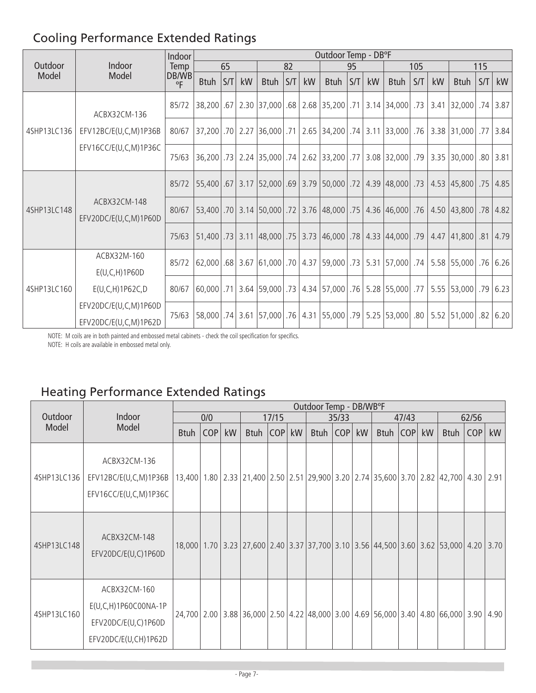## Cooling Performance Extended Ratings

|             |                                                | Indoor                |                 |     |            |             |     |    | Outdoor Temp - DB°F                                                                                         |    |    |             |     |    |                              |     |                      |
|-------------|------------------------------------------------|-----------------------|-----------------|-----|------------|-------------|-----|----|-------------------------------------------------------------------------------------------------------------|----|----|-------------|-----|----|------------------------------|-----|----------------------|
| Outdoor     | Indoor                                         | <b>Temp</b>           |                 | 65  |            |             | 82  |    |                                                                                                             | 95 |    |             | 105 |    |                              | 115 |                      |
| Model       | Model                                          | DB/WB<br>$^{\circ}$ F | <b>Btuh</b>     | S/T | kW         | <b>Btuh</b> | S/T | kW | <b>Btuh</b>                                                                                                 | ST | kW | <b>Btuh</b> | S/T | kW | <b>Btuh</b>                  | S/T | kW                   |
|             | ACBX32CM-136                                   | 85/72                 |                 |     |            |             |     |    | 38,200   .67   2.30   37,000   .68   2.68   35,200   .71   3.14   34,000   .73   3.41   32,000   .74   3.87 |    |    |             |     |    |                              |     |                      |
| 4SHP13LC136 | EFV12BC/E(U,C,M)1P36B<br>EFV16CC/E(U,C,M)1P36C | 80/67                 | 37,200 .70 2.27 |     |            |             |     |    | 36,000 .71   2.65   34,200   .74   3.11   33,000   .76   3.38   31,000   .77                                |    |    |             |     |    |                              |     | 3.84                 |
|             |                                                | 75/63                 |                 |     |            |             |     |    | 38   30,000   38   30,000   37   308   32,000   37   308   32,000   32   34   32,000   38   38   38         |    |    |             |     |    |                              |     |                      |
|             |                                                | 85/72                 |                 |     |            |             |     |    | 55,400   .67   3.17   52,000   .69   3.79   50,000   .72   4.39   48,000   .73                              |    |    |             |     |    | 4.53 45,800 .75              |     | 4.85                 |
| 4SHP13LC148 | ACBX32CM-148<br>EFV20DC/E(U,C,M)1P60D          | 80/67                 |                 |     |            |             |     |    | 53,400   .70   3.14   50,000   .72   3.76   48,000   .75   4.36   46,000   .76   4.50   43,800   .78   4.82 |    |    |             |     |    |                              |     |                      |
|             |                                                | 75/63                 |                 |     |            |             |     |    | 51,400   73   3.11   48,000   75   3.73   46,000   78   4.33   44,000   79                                  |    |    |             |     |    | $4.47$  41,800   .81         |     | 4.79                 |
|             | ACBX32M-160<br>E(U, C, H) 1P60D                | 85/72                 | 62,000          |     |            |             |     |    | .62   76.26   55,000   75.58   74.   75,000   75.31   75,000   75.58   76.26   68.26   68.                  |    |    |             |     |    |                              |     |                      |
| 4SHP13LC160 | E(U, C, H) 1P62C, D                            | 80/67                 |                 |     |            |             |     |    | 60,000 .71 3.64 59,000 .73 4.34 57,000 .76 5.28 55,000 .77                                                  |    |    |             |     |    | $5.55$ $53,000$ $.79$ $6.23$ |     |                      |
|             | EFV20DC/E(U,C,M)1P60D<br>EFV20DC/E(U,C,M)1P62D |                       | 58,000          |     | $.74$ 3.61 |             |     |    | 57,000 .76   4.31   55,000 .79   5.25   53,000 .80                                                          |    |    |             |     |    | $5.52$   51,000              |     | $.82 \mid 6.20 \mid$ |

NOTE: M coils are in both painted and embossed metal cabinets - check the coil specification for specifics.

NOTE: H coils are available in embossed metal only.

## Heating Performance Extended Ratings

|             |                                                                                          |             |     |    |                                                                                      |       |    | Outdoor Temp - DB/WB°F |       |    |            |       |    |             |       |    |
|-------------|------------------------------------------------------------------------------------------|-------------|-----|----|--------------------------------------------------------------------------------------|-------|----|------------------------|-------|----|------------|-------|----|-------------|-------|----|
| Outdoor     | Indoor                                                                                   |             | 0/0 |    |                                                                                      | 17/15 |    |                        | 35/33 |    |            | 47/43 |    |             | 62/56 |    |
| Model       | Model                                                                                    | <b>Btuh</b> | COP | kW | Btuh COP                                                                             |       | kW | Btuh   COP             |       | kW | Btuh   COP |       | kW | <b>Btuh</b> | COP   | kW |
| 4SHP13LC136 | ACBX32CM-136<br>EFV12BC/E(U,C,M)1P36B<br>EFV16CC/E(U,C,M)1P36C                           |             |     |    | 13,400 1.80 2.33 21,400 2.50 2.51 29,900 3.20 2.74 35,600 3.70 2.82 42,700 4.30 2.91 |       |    |                        |       |    |            |       |    |             |       |    |
| 4SHP13LC148 | ACBX32CM-148<br>EFV20DC/E(U,C)1P60D                                                      |             |     |    | 18,000 1.70 3.23 27,600 2.40 3.37 37,700 3.10 3.56 44,500 3.60 3.62 53,000 4.20 3.70 |       |    |                        |       |    |            |       |    |             |       |    |
| 4SHP13LC160 | ACBX32CM-160<br>$E(U, C, H)$ 1P60C00NA-1P<br>EFV20DC/E(U,C)1P60D<br>EFV20DC/E(U,CH)1P62D |             |     |    | 24,700 2.00 3.88 36,000 2.50 4.22 48,000 3.00 4.69 56,000 3.40 4.80 66,000 3.90 4.90 |       |    |                        |       |    |            |       |    |             |       |    |